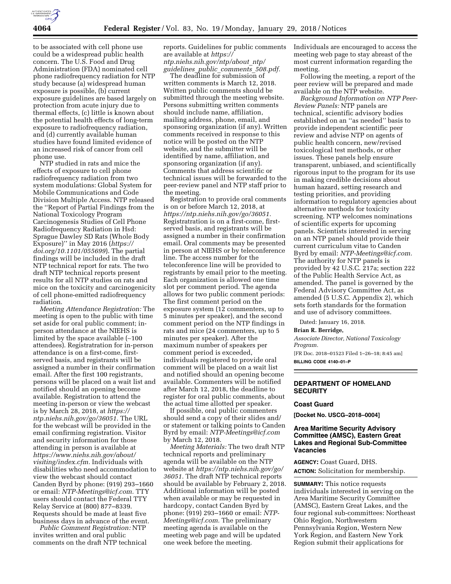

to be associated with cell phone use could be a widespread public health concern. The U.S. Food and Drug Administration (FDA) nominated cell phone radiofrequency radiation for NTP study because (a) widespread human exposure is possible, (b) current exposure guidelines are based largely on protection from acute injury due to thermal effects, (c) little is known about the potential health effects of long-term exposure to radiofrequency radiation, and (d) currently available human studies have found limited evidence of an increased risk of cancer from cell phone use.

NTP studied in rats and mice the effects of exposure to cell phone radiofrequency radiation from two system modulations: Global System for Mobile Communications and Code Division Multiple Access. NTP released the ''Report of Partial Findings from the National Toxicology Program Carcinogenesis Studies of Cell Phone Radiofrequency Radiation in Hsd: Sprague Dawley SD Rats (Whole Body Exposure)'' in May 2016 (*[https://](https://doi.org/10.1101/055699) [doi.org/10.1101/055699](https://doi.org/10.1101/055699)*). The partial findings will be included in the draft NTP technical report for rats. The two draft NTP technical reports present results for all NTP studies on rats and mice on the toxicity and carcinogenicity of cell phone-emitted radiofrequency radiation.

*Meeting Attendance Registration:* The meeting is open to the public with time set aside for oral public comment; inperson attendance at the NIEHS is limited by the space available (∼100 attendees). Registratration for in-person attendance is on a first-come, firstserved basis, and registrants will be assigned a number in their confirmation email. After the first 100 registrants, persons will be placed on a wait list and notified should an opening become available. Registration to attend the meeting in-person or view the webcast is by March 28, 2018, at *[https://](https://ntp.niehs.nih.gov/go/36051) [ntp.niehs.nih.gov/go/36051.](https://ntp.niehs.nih.gov/go/36051)* The URL for the webcast will be provided in the email confirming registration. Visitor and security information for those attending in person is available at *[https://www.niehs.nih.gov/about/](https://www.niehs.nih.gov/about/visiting/index.cfm) [visiting/index.cfm.](https://www.niehs.nih.gov/about/visiting/index.cfm)* Individuals with disabilities who need accommodation to view the webcast should contact Canden Byrd by phone: (919) 293–1660 or email: *[NTP-Meetings@icf.com.](mailto:NTP-Meetings@icf.com)* TTY users should contact the Federal TTY Relay Service at (800) 877–8339. Requests should be made at least five business days in advance of the event.

*Public Comment Registration:* NTP invites written and oral public comments on the draft NTP technical reports. Guidelines for public comments are available at *[https://](https://ntp.niehs.nih.gov/ntp/about_ntp/guidelines_public_comments_508.pdf) [ntp.niehs.nih.gov/ntp/about](https://ntp.niehs.nih.gov/ntp/about_ntp/guidelines_public_comments_508.pdf)*\_*ntp/ [guidelines](https://ntp.niehs.nih.gov/ntp/about_ntp/guidelines_public_comments_508.pdf)*\_*public*\_*comments*\_*508.pdf.* 

The deadline for submission of written comments is March 12, 2018. Written public comments should be submitted through the meeting website. Persons submitting written comments should include name, affiliation, mailing address, phone, email, and sponsoring organization (if any). Written comments received in response to this notice will be posted on the NTP website, and the submitter will be identified by name, affiliation, and sponsoring organization (if any). Comments that address scientific or technical issues will be forwarded to the peer-review panel and NTP staff prior to the meeting.

Registration to provide oral comments is on or before March 12, 2018, at *[https://ntp.niehs.nih.gov/go/36051.](https://ntp.niehs.nih.gov/go/36051)*  Registratration is on a first-come, firstserved basis, and registrants will be assigned a number in their confirmation email. Oral comments may be presented in person at NIEHS or by teleconference line. The access number for the teleconference line will be provided to registrants by email prior to the meeting. Each organization is allowed one time slot per comment period. The agenda allows for two public comment periods: The first comment period on the exposure system (12 commenters, up to 5 minutes per speaker), and the second comment period on the NTP findings in rats and mice (24 commenters, up to 5 minutes per speaker). After the maximum number of speakers per comment period is exceeded, individuals registered to provide oral comment will be placed on a wait list and notified should an opening become available. Commenters will be notified after March 12, 2018, the deadline to register for oral public comments, about the actual time allotted per speaker.

If possible, oral public commenters should send a copy of their slides and/ or statement or talking points to Canden Byrd by email: *[NTP-Meetings@icf.com](mailto:NTP-Meetings@icf.com)*  by March 12, 2018.

*Meeting Materials:* The two draft NTP technical reports and preliminary agenda will be available on the NTP website at *[https://ntp.niehs.nih.gov/go/](https://ntp.niehs.nih.gov/go/36051)  [36051.](https://ntp.niehs.nih.gov/go/36051)* The draft NTP technical reports should be available by February 2, 2018. Additional information will be posted when available or may be requested in hardcopy, contact Canden Byrd by phone: (919) 293–1660 or email: *[NTP-](mailto:NTP-Meetings@icf.com)[Meetings@icf.com.](mailto:NTP-Meetings@icf.com)* The preliminary meeting agenda is available on the meeting web page and will be updated one week before the meeting.

Individuals are encouraged to access the meeting web page to stay abreast of the most current information regarding the meeting.

Following the meeting, a report of the peer review will be prepared and made available on the NTP website.

*Background Information on NTP Peer-Review Panels:* NTP panels are technical, scientific advisory bodies established on an ''as needed'' basis to provide independent scientific peer review and advise NTP on agents of public health concern, new/revised toxicological test methods, or other issues. These panels help ensure transparent, unbiased, and scientifically rigorous input to the program for its use in making credible decisions about human hazard, setting research and testing priorities, and providing information to regulatory agencies about alternative methods for toxicity screening. NTP welcomes nominations of scientific experts for upcoming panels. Scientists interested in serving on an NTP panel should provide their current curriculum vitae to Canden Byrd by email: *[NTP-Meetings@icf.com.](mailto:NTP-Meetings@icf.com)*  The authority for NTP panels is provided by 42 U.S.C. 217a; section 222 of the Public Health Service Act, as amended. The panel is governed by the Federal Advisory Committee Act, as amended (5 U.S.C. Appendix 2), which sets forth standards for the formation and use of advisory committees.

Dated: January 16, 2018.

#### **Brian R. Berridge,**

*Associate Director, National Toxicology Program.*  [FR Doc. 2018–01523 Filed 1–26–18; 8:45 am]

**BILLING CODE 4140–01–P** 

### **DEPARTMENT OF HOMELAND SECURITY**

#### **Coast Guard**

**[Docket No. USCG–2018–0004]** 

# **Area Maritime Security Advisory Committee (AMSC), Eastern Great Lakes and Regional Sub-Committee Vacancies**

**AGENCY:** Coast Guard, DHS. **ACTION:** Solicitation for membership.

**SUMMARY:** This notice requests individuals interested in serving on the Area Maritime Security Committee (AMSC), Eastern Great Lakes, and the four regional sub-committees: Northeast Ohio Region, Northwestern Pennsylvania Region, Western New York Region, and Eastern New York Region submit their applications for